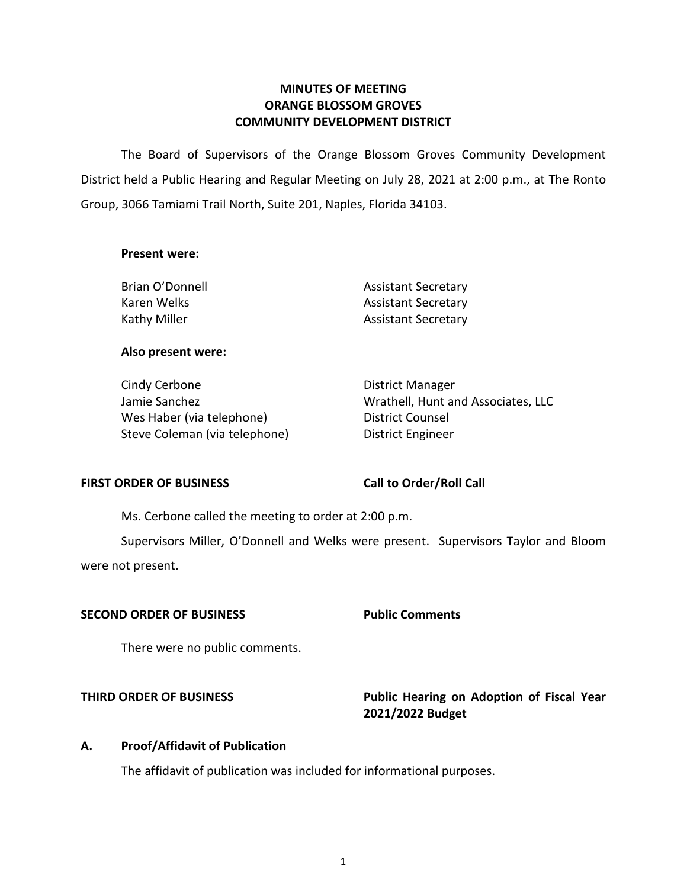## **MINUTES OF MEETING ORANGE BLOSSOM GROVES COMMUNITY DEVELOPMENT DISTRICT**

 The Board of Supervisors of the Orange Blossom Groves Community Development District held a Public Hearing and Regular Meeting on July 28, 2021 at 2:00 p.m., at The Ronto Group, 3066 Tamiami Trail North, Suite 201, Naples, Florida 34103.

### **Present were:**

| Brian O'Donnell | <b>Assistant Secretary</b> |
|-----------------|----------------------------|
| Karen Welks     | <b>Assistant Secretary</b> |
| Kathy Miller    | <b>Assistant Secretary</b> |

### **Also present were:**

| Cindy Cerbone                 | <b>District Manager</b>            |
|-------------------------------|------------------------------------|
| Jamie Sanchez                 | Wrathell, Hunt and Associates, LLC |
| Wes Haber (via telephone)     | District Counsel                   |
| Steve Coleman (via telephone) | District Engineer                  |

## FIRST ORDER OF BUSINESS Call to Order/Roll Call

Ms. Cerbone called the meeting to order at 2:00 p.m.

Supervisors Miller, O'Donnell and Welks were present. Supervisors Taylor and Bloom were not present.

## **SECOND ORDER OF BUSINESS Public Comments**

There were no public comments.

# **THIRD ORDER OF BUSINESS THIRD ORDER OF BUSINESS Public Hearing on Adoption of Fiscal Year 2021/2022 Budget**

## **A. Proof/Affidavit of Publication**

The affidavit of publication was included for informational purposes.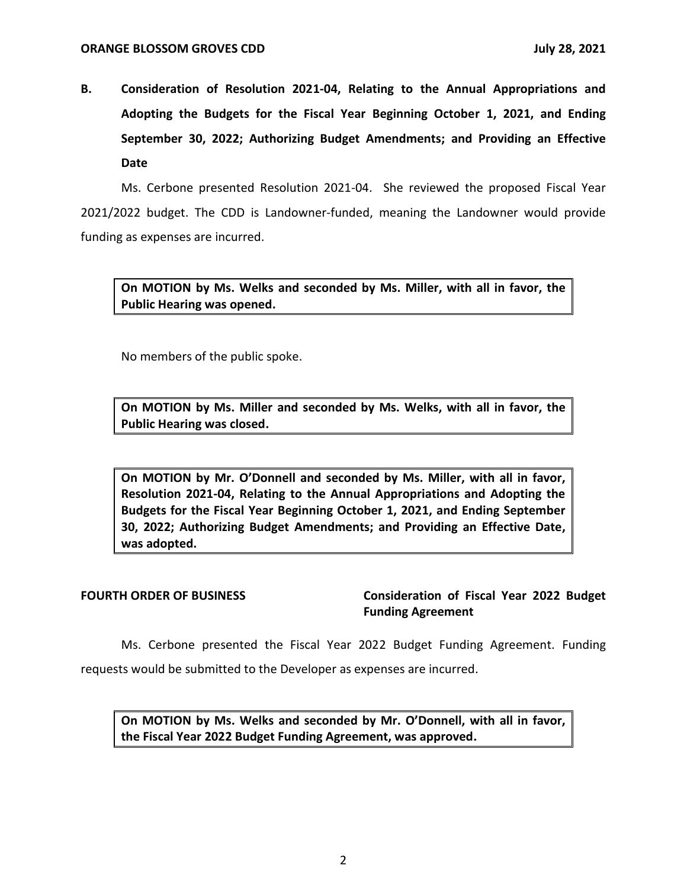**B. Consideration of Resolution 2021-04, Relating to the Annual Appropriations and Adopting the Budgets for the Fiscal Year Beginning October 1, 2021, and Ending September 30, 2022; Authorizing Budget Amendments; and Providing an Effective Date** 

 Ms. Cerbone presented Resolution 2021-04. She reviewed the proposed Fiscal Year 2021/2022 budget. The CDD is Landowner-funded, meaning the Landowner would provide funding as expenses are incurred.

 **On MOTION by Ms. Welks and seconded by Ms. Miller, with all in favor, the Public Hearing was opened.** 

No members of the public spoke.

 **On MOTION by Ms. Miller and seconded by Ms. Welks, with all in favor, the Public Hearing was closed.** 

 **On MOTION by Mr. O'Donnell and seconded by Ms. Miller, with all in favor, Resolution 2021-04, Relating to the Annual Appropriations and Adopting the Budgets for the Fiscal Year Beginning October 1, 2021, and Ending September 30, 2022; Authorizing Budget Amendments; and Providing an Effective Date, was adopted.** 

FOURTH ORDER OF BUSINESS **Consideration of Fiscal Year 2022 Budget Funding Agreement** 

 Ms. Cerbone presented the Fiscal Year 2022 Budget Funding Agreement. Funding requests would be submitted to the Developer as expenses are incurred.

 **On MOTION by Ms. Welks and seconded by Mr. O'Donnell, with all in favor, the Fiscal Year 2022 Budget Funding Agreement, was approved.**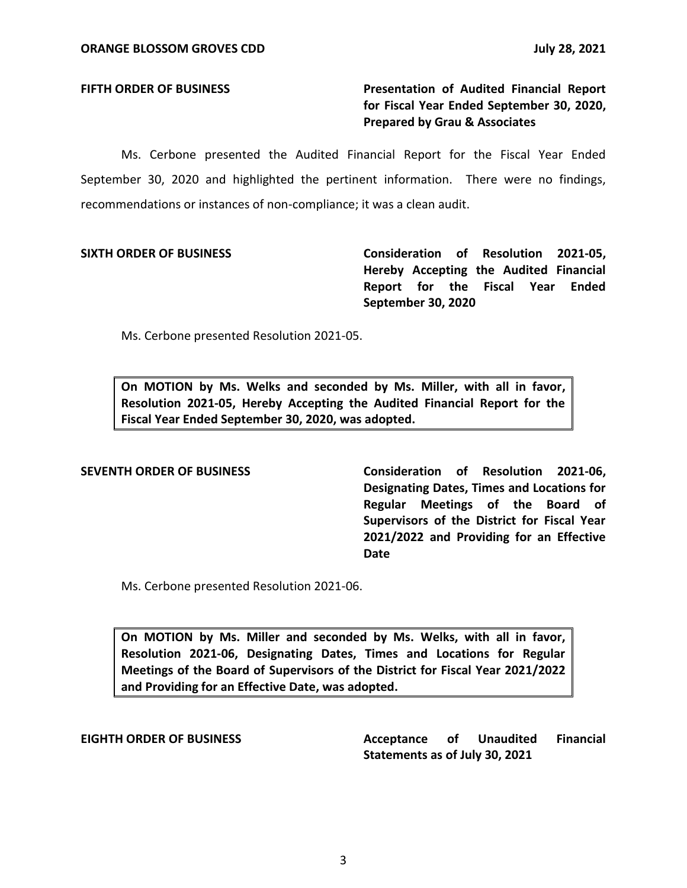FIFTH ORDER OF BUSINESS **The State of Audited Financial Report for Fiscal Year Ended September 30, 2020, Prepared by Grau & Associates** 

 Ms. Cerbone presented the Audited Financial Report for the Fiscal Year Ended September 30, 2020 and highlighted the pertinent information. There were no findings, recommendations or instances of non-compliance; it was a clean audit.

 **SIXTH ORDER OF BUSINESS Consideration of Resolution 2021-05, Hereby Accepting the Audited Financial Report for the Fiscal Year Ended September 30, 2020** 

Ms. Cerbone presented Resolution 2021-05.

 **On MOTION by Ms. Welks and seconded by Ms. Miller, with all in favor, Resolution 2021-05, Hereby Accepting the Audited Financial Report for the Fiscal Year Ended September 30, 2020, was adopted.** 

 **SEVENTH ORDER OF BUSINESS Consideration of Resolution 2021-06, Designating Dates, Times and Locations for Regular Meetings of the Board of Supervisors of the District for Fiscal Year 2021/2022 and Providing for an Effective Date** 

Ms. Cerbone presented Resolution 2021-06.

 **On MOTION by Ms. Miller and seconded by Ms. Welks, with all in favor, Resolution 2021-06, Designating Dates, Times and Locations for Regular Meetings of the Board of Supervisors of the District for Fiscal Year 2021/2022 and Providing for an Effective Date, was adopted.** 

**Unaudited Statements as of July 30, 2021 EIGHTH ORDER OF BUSINESS Acceptance of Unaudited Financial**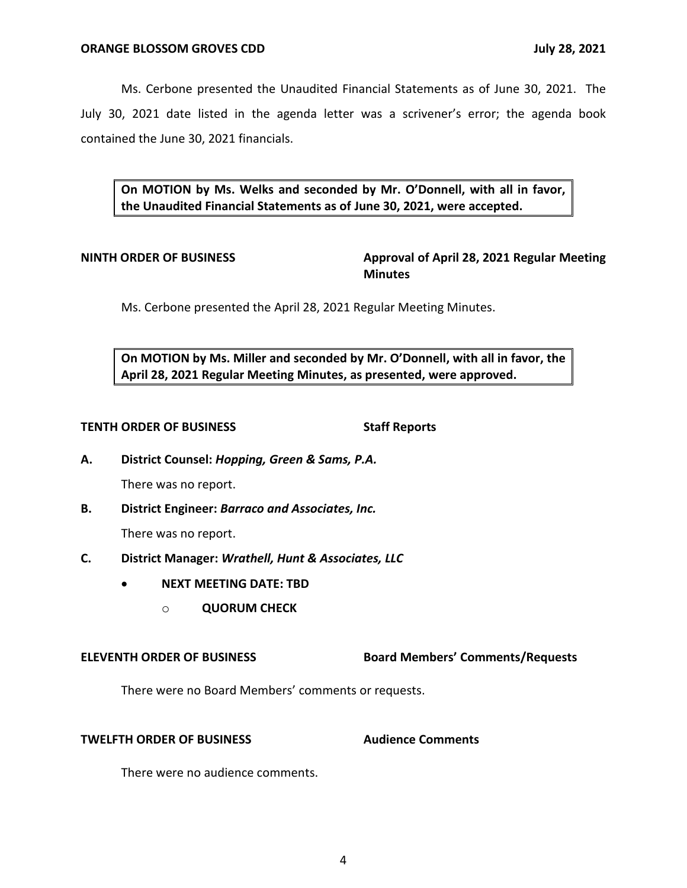Ms. Cerbone presented the Unaudited Financial Statements as of June 30, 2021. The July 30, 2021 date listed in the agenda letter was a scrivener's error; the agenda book contained the June 30, 2021 financials.

 **On MOTION by Ms. Welks and seconded by Mr. O'Donnell, with all in favor, the Unaudited Financial Statements as of June 30, 2021, were accepted.** 

**NINTH ORDER OF BUSINESS Approval of April 28, 2021 Regular Meeting Minutes** 

Ms. Cerbone presented the April 28, 2021 Regular Meeting Minutes.

 **On MOTION by Ms. Miller and seconded by Mr. O'Donnell, with all in favor, the April 28, 2021 Regular Meeting Minutes, as presented, were approved.** 

### **TENTH ORDER OF BUSINESS** Staff Reports

 **A. District Counsel:** *Hopping, Green & Sams, P.A.* 

There was no report.

**B. District Engineer:** *Barraco and Associates, Inc.* 

There was no report.

- **C. District Manager:** *Wrathell, Hunt & Associates, LLC* 
	- **NEXT MEETING DATE: TBD** 
		- o **QUORUM CHECK**

 **ELEVENTH ORDER OF BUSINESS Board Members' Comments/Requests** 

There were no Board Members' comments or requests.

## **TWELFTH ORDER OF BUSINESS Audience Comments**

There were no audience comments.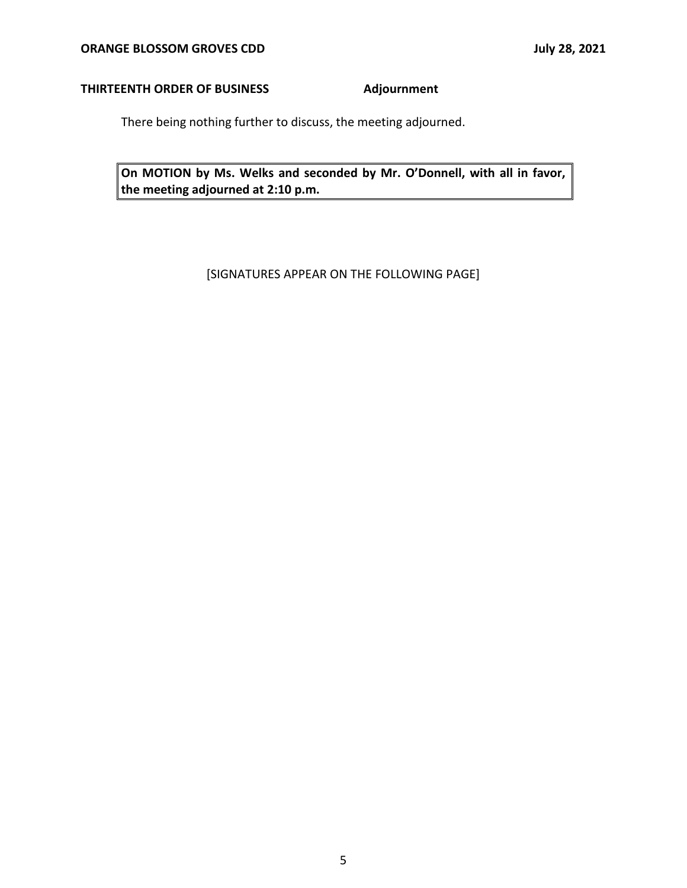## **THIRTEENTH ORDER OF BUSINESS Adjournment**

There being nothing further to discuss, the meeting adjourned.

 **On MOTION by Ms. Welks and seconded by Mr. O'Donnell, with all in favor, the meeting adjourned at 2:10 p.m.** 

[SIGNATURES APPEAR ON THE FOLLOWING PAGE]